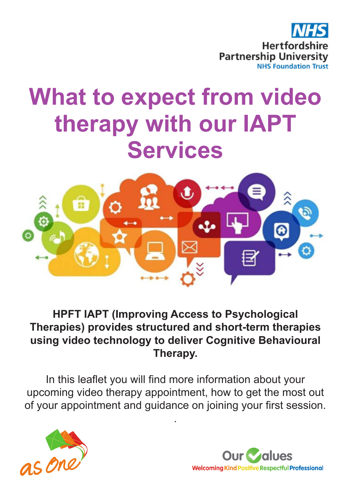

# **What to expect from video therapy with our IAPT Services**



#### **HPFT IAPT (Improving Access to Psychological Therapies) provides structured and short-term therapies using video technology to deliver Cognitive Behavioural Therapy.**

In this leaflet you will find more information about your upcoming video therapy appointment, how to get the most out of your appointment and guidance on joining your first session.

.



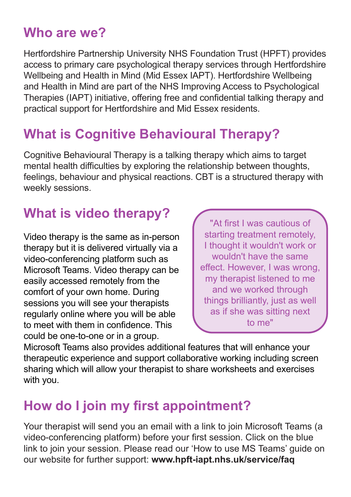#### **Who are we?**

Hertfordshire Partnership University NHS Foundation Trust (HPFT) provides access to primary care psychological therapy services through Hertfordshire Wellbeing and Health in Mind (Mid Essex IAPT). Hertfordshire Wellbeing and Health in Mind are part of the NHS Improving Access to Psychological Therapies (IAPT) initiative, offering free and confidential talking therapy and practical support for Hertfordshire and Mid Essex residents.

## **What is Cognitive Behavioural Therapy?**

Cognitive Behavioural Therapy is a talking therapy which aims to target mental health difficulties by exploring the relationship between thoughts, feelings, behaviour and physical reactions. CBT is a structured therapy with weekly sessions.

### **What is video therapy?**

Video therapy is the same as in-person therapy but it is delivered virtually via a video-conferencing platform such as Microsoft Teams. Video therapy can be easily accessed remotely from the comfort of your own home. During sessions you will see your therapists regularly online where you will be able to meet with them in confidence. This could be one-to-one or in a group.

"At first I was cautious of starting treatment remotely, I thought it wouldn't work or wouldn't have the same effect. However, I was wrong, my therapist listened to me and we worked through things brilliantly, just as well as if she was sitting next to me"

Microsoft Teams also provides additional features that will enhance your therapeutic experience and support collaborative working including screen sharing which will allow your therapist to share worksheets and exercises with you.

### **How do I join my first appointment?**

Your therapist will send you an email with a link to join Microsoft Teams (a video-conferencing platform) before your first session. Click on the blue link to join your session. Please read our 'How to use MS Teams' guide on our website for further support: **www.hpft-iapt.nhs.uk/service/faq**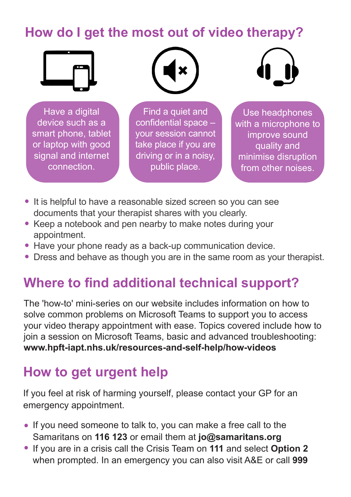#### **How do I get the most out of video therapy?**



 Have a digital device such as a smart phone, tablet or laptop with good signal and internet connection.



Find a quiet and confidential space – your session cannot take place if you are driving or in a noisy, public place.



Use headphones with a microphone to improve sound quality and minimise disruption from other noises.

- It is helpful to have a reasonable sized screen so you can see documents that your therapist shares with you clearly.
- Keep a notebook and pen nearby to make notes during your appointment.
- Have your phone ready as a back-up communication device.
- Dress and behave as though you are in the same room as your therapist.

#### **Where to find additional technical support?**

The 'how-to' mini-series on our website includes information on how to solve common problems on Microsoft Teams to support you to access your video therapy appointment with ease. Topics covered include how to join a session on Microsoft Teams, basic and advanced troubleshooting: **www.hpft-iapt.nhs.uk/resources-and-self-help/how-videos** 

### **How to get urgent help**

If you feel at risk of harming yourself, please contact your GP for an emergency appointment.

- If you need someone to talk to, you can make a free call to the Samaritans on **116 123** or email them at **jo@samaritans.org**
- If you are in a crisis call the Crisis Team on 111 and select Option 2 when prompted. In an emergency you can also visit A&E or call **999**